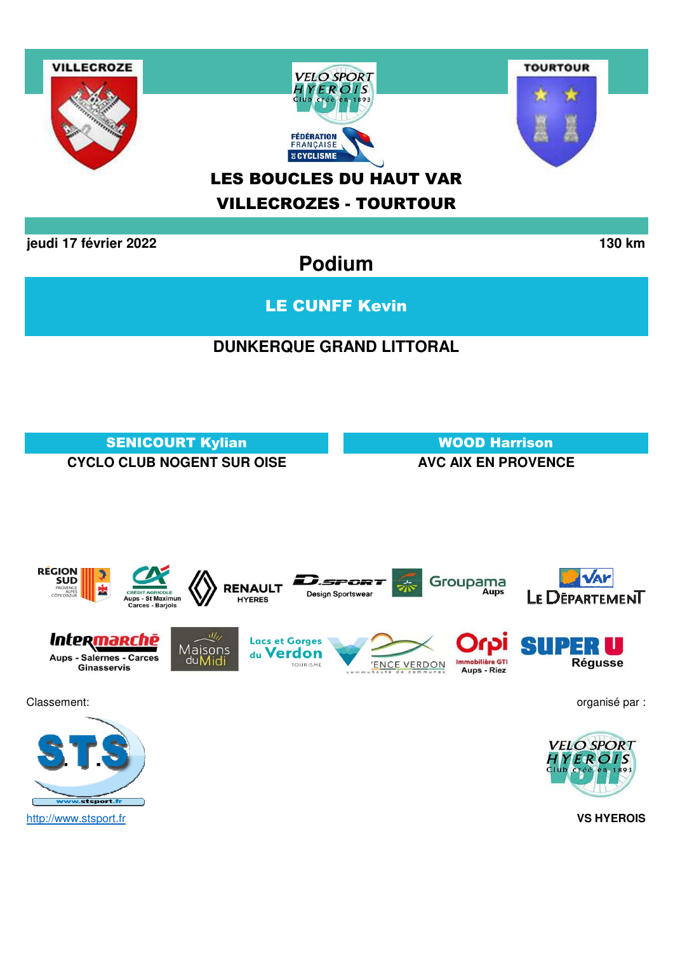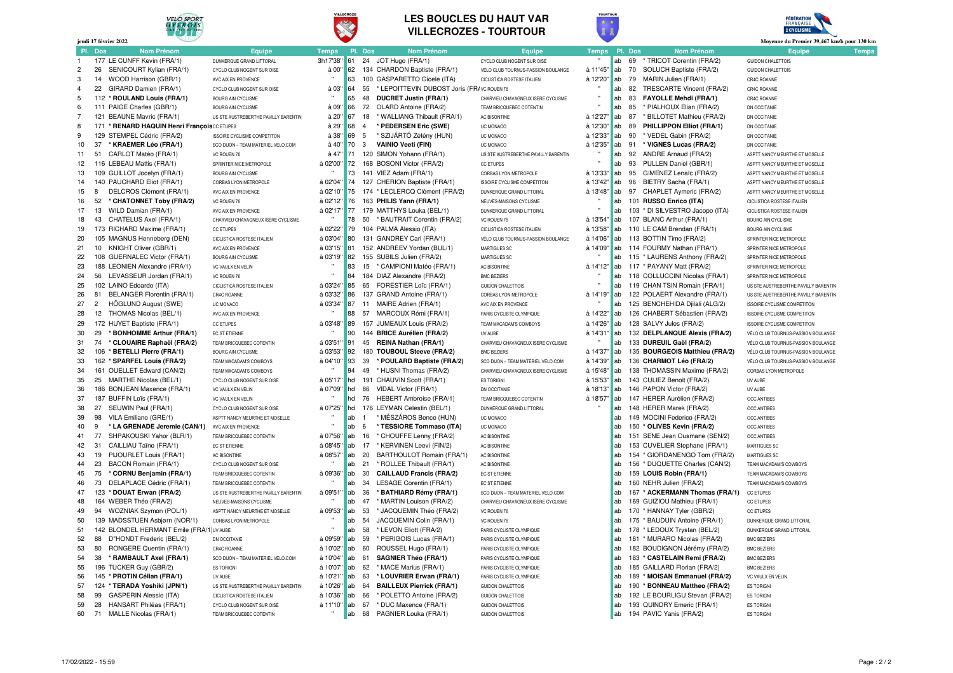

VILLEGROZE





|                | jeudi 17 février 2022                                       |                                                        |                      |           |                                                                          |                                                      |              |                 |         |                                                                | Moyenne du Premier 39,467 km/h pour 130 km                               |
|----------------|-------------------------------------------------------------|--------------------------------------------------------|----------------------|-----------|--------------------------------------------------------------------------|------------------------------------------------------|--------------|-----------------|---------|----------------------------------------------------------------|--------------------------------------------------------------------------|
|                | <b>Nom Prénom</b><br>Pl. Dos                                | Equipe                                                 | <b>Temps</b>         |           | Pl. Dos<br><b>Nom Prénom</b>                                             | <b>Equipe</b>                                        | <b>Temps</b> |                 | Pl. Dos | <b>Nom Prénom</b>                                              | <b>Equipe</b><br><b>Temps</b>                                            |
| $\mathbf{1}$   | 177 LE CUNFF Kevin (FRA/1)                                  | DUNKEROUF GRAND LITTORAL                               | 3h17'38"             | 61        | 24<br>JOT Hugo (FRA/1)                                                   | CYCLO CLUB NOGENT SUR OISE                           |              | ab              | 69      | * TRICOT Corentin (FRA/2)                                      | GUIDON CHALETTOIS                                                        |
| $\overline{2}$ | 26<br>SENICOURT Kylian (FRA/1)                              | CYCLO CLUB NOGENT SUR OISE                             | à 00'                | 62        | 134 CHARDON Baptiste (FRA/1)                                             | VÉLO CLUB TOURNUS-PASSION BOULANGE                   | à 11'45'     | lab             | 70      | SOLUCH Baptiste (FRA/2)                                        | <b>GUIDON CHALETTOIS</b>                                                 |
| 3              | WOOD Harrison (GBR/1)<br>14                                 | AVC AIX EN PROVENCE                                    | $\mathbf{u}$         | 63        | 100 GASPARETTO Gioele (ITA)                                              | CICLISTICA ROSTESE ITALIEN                           | à 12'20'     | ab              | 79      | MARIN Julien (FRA/1)                                           | CR4C ROANNE                                                              |
| $\overline{4}$ | 22<br>GIRARD Damien (FRA/1)                                 | CYCLO CLUB NOGENT SUR OISE                             | à 03"                | 64        | * LEPOITTEVIN DUBOST Joris (FR/VC ROUEN 76<br>55                         |                                                      |              | ab              | 82      | TRESCARTE Vincent (FRA/2)                                      | CR4C ROANNE                                                              |
| 5              | 112 * ROULAND Louis (FRA/1)                                 | BOURG AIN CYCLISME                                     |                      | 65        | 48<br><b>DUCRET Justin (FRA/1)</b>                                       | CHARVIEU CHAVAGNEUX ISERE CYCLISME                   |              | ab              | 83      | <b>FAYOLLE Mehdi (FRA/1)</b>                                   | CR4C ROANNE                                                              |
| 6              | 111 PAIGE Charles (GBR/1)                                   | BOURG AIN CYCLISME                                     | à 09"                | 66        | 72<br>OLARD Antoine (FRA/2)                                              | TEAM BRICQUEBEC COTENTIN                             |              | ab              | 85      | * PIALHOUX Elian (FRA/2)                                       | DN OCCITANIE                                                             |
| $\overline{7}$ | 121 BEAUNE Mavric (FRA/1)                                   | US STE AUSTREBERTHE PAVILLY BARENTIN                   | à 20"                | 67        | 18<br>* WALLIANG Thibault (FRA/1)                                        | AC BISONTINE                                         | à 12'27'     | ab              | 87      | * BILLOTET Mathieu (FRA/2)                                     | DN OCCITANIE                                                             |
| 8              | 171 * RENARD HAQUIN Henri Francois CC ETUPES                |                                                        | à 29"                | 68        | * PEDERSEN Eric (SWE)<br>$\overline{4}$                                  | UC MONACO                                            | à 12'30"     | lab             | 89      | PHILLIPPON Elliot (FRA/1)                                      | DN OCCITANIE                                                             |
| 9              | 129 STEMPEL Cédric (FRA/2)                                  | <b>ISSOIRE CYCLISME COMPETITON</b>                     | à 38"                | 69        | 5<br>* SZIJÁRTÓ Zétény (HUN)                                             | UC MONACO                                            | à 12'33"     | ab              | 90      | * VEDEL Gabin (FRA/2)                                          | DN OCCITANIE                                                             |
| 10             | 37<br>* KRAEMER Léo (FRA/1)                                 | SCO DIJON - TEAM MATERIEL VELO.COM                     | à 40"                | 70        | $\mathbf{3}$<br><b>VAINIO Veeti (FIN)</b>                                | UC MONACO                                            | à 12'35"     | ab              | 91      | * VIGNES Lucas (FRA/2)                                         | DN OCCITANIE                                                             |
| 11             | CARLOT Matéo (FRA/1)<br>51                                  | VC ROUEN 76                                            | $\hat{a}$ 47"        | 71        | 120 SIMON Yohann (FRA/1)                                                 | US STE AUSTREBERTHE PAVILLY BARENTIN                 |              | ab              | 92      | ANDRE Arnaud (FRA/2)                                           | ASPTT NANCY MEURTHE ET MOSELLE                                           |
| 12             | 116 LEBEAU Mattis (FRA/1)                                   | SPRINTER NICE METROPOLE                                | à 02'00"             | 72        | 168 BOSONI Victor (FRA/2)                                                | <b>CC ETUPES</b>                                     |              | ab              | 93      | PULLEN Daniel (GBR/1)                                          | ASPTT NANCY MEURTHE ET MOSELLE                                           |
| 13             | 109 GUILLOT Jocelyn (FRA/1)                                 | BOURG AIN CYCLISME                                     |                      | 73        | 141 VIEZ Adam (FRA/1)                                                    | CORBAS LYON METROPOLE                                | à 13'33"     | ab              | 95      | GIMENEZ Lenaïc (FRA/2)                                         | ASPTT NANCY MEURTHE ET MOSELLE                                           |
| 14             | 140 PAUCHARD Eliot (FRA/1)                                  | CORBAS LYON METROPOLE                                  | à 02'04'             | 74        | 127 CHERION Baptiste (FRA/1)                                             | <b>ISSOIRE CYCLISME COMPETITON</b>                   | à 13'42"     | ab              | 96      | BIETRY Sacha (FRA/1)                                           | ASPTT NANCY MEURTHE ET MOSELLE                                           |
| 15             | 8<br>DELCROS Clément (FRA/1)                                | AVC AIX FN PROVENCE                                    | à 02'10"             | 75        | 174 * LECLERCQ Clément (FRA/2)                                           | DUNKEROUF GRAND LITTORAL                             | à 13'48"     | lab             | 97      | CHAPLET Avmeric (FRA/2)                                        | ASPTT NANCY MEURTHE ET MOSELLE                                           |
| 16             | 52<br>* CHATONNET Toby (FRA/2)                              | VC ROUEN 76                                            | à 02'12"             | 76        | 163 PHILIS Yann (FRA/1)                                                  | NEUVES-MAISONS CYCLISME                              |              | ab              |         | 101 RUSSO Enrico (ITA)                                         | CICLISTICA ROSTESE ITALIEN                                               |
| 17             | 13 WILD Damian (FRA/1)                                      | AVC AIX EN PROVENCE                                    | à 02'17"             | 77        | 179 MATTHYS Louka (BEL/1)                                                | DUNKERQUE GRAND LITTORAL                             |              | ab              |         | 103 * DI SILVESTRO Jacopo (ITA)                                | CICLISTICA ROSTESE ITALIEN                                               |
| 18             | 43<br>CHATELUS Axel (FRA/1)                                 | CHARVIEU CHAVAGNEUX ISERE CYCLISME                     |                      | 78        | 50 * BAUTRAIT Corentin (FRA/2)                                           | VC ROUEN 76                                          | à 13'54"     | ab              |         | 107 BLANC Arthur (FRA/1)                                       | BOURG AIN CYCLISME                                                       |
| 19             | 173 RICHARD Maxime (FRA/1)                                  | CC ETUPES                                              | à 02'22'             | 79        | 104 PALMA Alessio (ITA)                                                  | <b>CICLISTICA ROSTESE ITALIEN</b>                    | à 13'58"     | ab              |         | 110 LE CAM Brendan (FRA/1)                                     | <b>BOURG AIN CYCLISME</b>                                                |
| 20             | 105 MAGNUS Henneberg (DEN)                                  | CICLISTICA ROSTESE ITALIEN                             | à 03'04"             | 80        | 131 GANDREY Carl (FRA/1)                                                 | VÉLO CLUB TOURNUS-PASSION BOULANGE                   | à 14'06"     | ab              |         | 113 BOTTIN Timo (FRA/2)                                        | SPRINTER NICE METROPOLE                                                  |
| 21             | 10 KNIGHT Oliver (GBR/1)                                    | AVC AIX FN PROVENCE                                    | à 03'15"             | 81        | 152 ANDREEV Yordan (BUL/1)                                               | MARTIGUES SC                                         | à 14'09"     | ab              |         | 114 FOURMY Nathan (FRA/1)                                      | SPRINTER NICE METROPOLE                                                  |
| 22             | 108 GUERNALEC Victor (FRA/1)                                | BOURG AIN CYCLISME                                     | à 03'19"             | 82        | 155 SUBILS Julien (FRA/2)                                                | MARTIGUES SC                                         |              | ab              |         | 115 * LAURENS Anthony (FRA/2)                                  | SPRINTER NICE METROPOLE                                                  |
| 23             | 188 LEONIEN Alexandre (FRA/1)                               | VC VAULX EN VELIN                                      |                      | 83<br>84  | 15 * CAMPIONI Matéo (FRA/1)                                              | AC BISONTINE                                         | à 14'12"     | ab<br>ab        |         | 117 * PAYANY Matt (FRA/2)                                      | SPRINTER NICE METROPOLE                                                  |
| 24             | 56 LEVASSEUR Jordan (FRA/1)                                 | VC ROUEN 76                                            |                      |           | 184 DIAZ Alexandre (FRA/2)                                               | <b>BMC BEZIERS</b>                                   |              |                 |         | 118 COLLUCCINI Nicolas (FRA/1)                                 | SPRINTER NICE METROPOLE                                                  |
| 25<br>26       | 102 LAINO Edoardo (ITA)<br>81<br>BELANGER Florentin (FRA/1) | CICLISTICA ROSTESE ITALIEN                             | à 03'24"<br>à 03'32" | 85<br>86  | FORESTIER Loïc (FRA/1)<br>65<br>137 GRAND Antoine (FRA/1)                | <b>GUIDON CHALETTOIS</b>                             |              | ab              |         | 119 CHAN TSIN Romain (FRA/1)<br>122 POLAERT Alexandre (FRA/1)  | US STE AUSTREBERTHE PAVILLY BARENTIN                                     |
| 27             | $\overline{2}$<br>HÖGLUND August (SWE)                      | <b>CR4C ROANNE</b>                                     | à 03'34"             | 87        | 11<br>MAIRE Adrien (FRA/1)                                               | CORBAS LYON METROPOLE<br>AVC AIX EN PROVENCE         | à 14'19"     | <b>ab</b><br>ab |         | 125 BENCHEHIDA Djilali (ALG/2)                                 | US STE AUSTREBERTHE PAVILLY BARENTIN                                     |
| 28             | 12 THOMAS Nicolas (BEL/1)                                   | UC MONACO<br>AVC AIX EN PROVENCE                       | $\mathbf{u}$         | 88        | 57 MARCOUX Rémi (FRA/1)                                                  | PARIS CYCLISTE OI YMPIOUE                            | à 14'22"     | ab              |         | 126 CHABERT Sébastien (FRA/2)                                  | <b>ISSOIRE CYCLISME COMPETITON</b><br><b>ISSOIRE CYCLISME COMPETITON</b> |
| 29             | 172 HUYET Baptiste (FRA/1)                                  |                                                        | à 03'48"             | 89        | 157 JUMEAUX Louis (FRA/2)                                                |                                                      | à 14'26"     | ab              |         | 128 SALVY Jules (FRA/2)                                        |                                                                          |
| 30             | * BONHOMME Arthur (FRA/1)<br>29                             | CC ETUPES<br>FC ST FTIFNNF                             |                      | 90        | 144 BRICE Aurélien (FRA/2)                                               | TEAM MACADAM'S COWBOYS<br><b>UV AURE</b>             | à 14'31'     | ab              |         | 132 DELPLANQUE Alexis (FRA/2)                                  | <b>ISSOIRE CYCLISME COMPETITON</b><br>VÉLO CLUB TOURNUS-PASSION BOULANGE |
| 31             | 74<br>* CLOUAIRE Raphaël (FRA/2)                            | TEAM BRICQUEBEC COTENTIN                               | à 03'51'             | 91        | REINA Nathan (FRA/1)<br>45                                               | CHARVIEU CHAVAGNEUX ISERE CYCLISME                   |              | ab              |         | 133 DUREUIL Gaël (FRA/2)                                       | VÉLO CLUB TOURNUS-PASSION BOULANGE                                       |
| 32             | 106 * BETELLI Pierre (FRA/1)                                | BOURG AIN CYCLISME                                     | à 03'53"             | 92        | 180 TOUBOUL Steeve (FRA/2)                                               | <b>BMC BEZIERS</b>                                   | à 14'37      | ab              |         | 135 BOURGEOIS Matthieu (FRA/2)                                 | VÉLO CLUB TOURNUS-PASSION BOULANGE                                       |
| 33             | 162 * SPARFEL Louis (FRA/2)                                 | TEAM MACADAM'S COWBOYS                                 | à 04'10"             | 93        | * POULARD Baptiste (FRA/2)<br>39                                         | SCO DIJON - TEAM MATERIEL VELO.COM                   | à 14'39"     | lab             |         | 136 CHARMOT Léo (FRA/2)                                        | VÉLO CLUB TOURNUS-PASSION BOULANGE                                       |
| 34             | 161 OUELLET Edward (CAN/2)                                  | TEAM MACADAM'S COWBOYS                                 |                      | 94        | * HUSNI Thomas (FRA/2)<br>49                                             | CHARVIEU CHAVAGNEUX ISERE CYCLISME                   | à 15'48"     | ab              |         | 138 THOMASSIN Maxime (FRA/2)                                   | CORBAS LYON METROPOLE                                                    |
| 35             | 25 MARTHE Nicolas (BEL/1)                                   | CYCLO CLUB NOGENT SUR OISE                             | à 05'17"             | hd        | 191 CHAUVIN Scott (FRA/1)                                                | <b>ES TORIGNI</b>                                    | à 15'53"     | ab              |         | 143 CULIEZ Benoit (FRA/2)                                      | UV AURE                                                                  |
| 36             | 186 BONJEAN Maxence (FRA/1)                                 | VC VAULX EN VELIN                                      | à 07'09"             | hd        | 86<br>VIDAL Victor (FRA/1)                                               | DN OCCITANIE                                         | à 18'13"     | ab              |         | 146 PAPON Victor (FRA/2)                                       | UV AUBE                                                                  |
| 37             | 187 BUFFIN Loïs (FRA/1)                                     | VC VAULX EN VELIN                                      |                      | hd        | 76<br>HEBERT Ambroise (FRA/1)                                            | TEAM BRICQUEBEC COTENTIN                             | à 18'57'     | ab              |         | 147 HERER Aurélien (FRA/2)                                     | <b>OCC ANTIBES</b>                                                       |
| 38             | 27<br>SEUWIN Paul (FRA/1)                                   | CYCLO CLUB NOGENT SUR OISE                             | à 07'25"             | hd        | 176 LEYMAN Celestin (BEL/1)                                              | DUNKERQUE GRAND LITTORAL                             |              | ab              |         | 148 HERER Marek (FRA/2)                                        | <b>OCC ANTIBES</b>                                                       |
| 39             | 98<br>VILA Emiliano (GRE/1)                                 | ASPTT NANCY MEURTHE ET MOSELLE                         |                      | ab        | * MÉSZÁROS Bence (HUN)                                                   | UC MONACO                                            |              | ab              |         | 149 MOCINI Federico (FRA/2)                                    | <b>OCC ANTIBES</b>                                                       |
| 40             | * LA GRENADE Jeremie (CAN/1)<br>9                           | AVC AIX EN PROVENCE                                    |                      | ab        | * TESSIORE Tommaso (ITA)<br>6                                            | UC MONACO                                            |              | ab              |         | 150 * OLIVES Kevin (FRA/2)                                     | <b>OCC ANTIBES</b>                                                       |
| 41             | 77<br>SHPAKOUSKI Yahor (BLR/1)                              | TEAM BRICQUEBEC COTENTIN                               | à 07'56"             | ab        | 16<br>* CHOUFFE Lenny (FRA/2)                                            | AC BISONTINE                                         |              | ab              | 151     | SENE Jean Ousmane (SEN/2)                                      | OCC ANTIBES                                                              |
| 42             | 31<br>CAILLIAU Taïno (FRA/1)                                | EC ST ETIENNE                                          | à 08'45"             | ab        | * KERVINEN Leevi (FIN/2)<br>17                                           | AC BISONTINE                                         |              | lab             |         | 153 CUVELIER Stephane (FRA/1)                                  | MARTIGUES SC                                                             |
| 43             | 19<br>PIJOURLET Louis (FRA/1)                               | <b>AC BISONTINE</b>                                    | à 08'57'             | ab        | 20<br>BARTHOULOT Romain (FRA/1)                                          | AC BISONTINE                                         |              | lab             |         | 154 * GIORDANENGO Tom (FRA/2)                                  | MARTIGUES SC                                                             |
| 44             | 23<br>BACON Romain (FRA/1)                                  | CYCLO CLUB NOGENT SUR OISE                             | $\mathbf{H}$         | ab        | * ROLLEE Thibault (FRA/1)<br>21                                          | AC BISONTINE                                         |              | ab              |         | 156 * DUQUETTE Charles (CAN/2)                                 | TEAM MACADAM'S COWBOYS                                                   |
| 45             | 75<br>* CORNU Benjamin (FRA/1)                              | TEAM BRICQUEBEC COTENTIN                               | à 09'36"             | ab        | 30<br><b>CAILLAUD Francis (FRA/2)</b>                                    | EC ST ETIENNE                                        |              | lab             |         | 159 LOUIS Robin (FRA/1)                                        | TEAM MACADAM'S COWBOYS                                                   |
| 46             | 73<br>DELAPLACE Cédric (FRA/1)                              | TEAM BRICQUEBEC COTENTIN                               |                      | ab        | 34<br>LESAGE Corentin (FRA/1)                                            | EC ST ETIENNE                                        |              | ab              |         | 160 NEHR Julien (FRA/2)                                        | TEAM MACADAM'S COWBOYS                                                   |
| 47             | 123 * DOUAT Erwan (FRA/2)                                   | US STE AUSTREBERTHE PAVILLY BARENTIN                   | à 09'51              | ab        | 36<br>* BATHIARD Rémy (FRA/1)                                            | SCO DIJON - TEAM MATERIEL VELO.COM                   |              | ab              |         | 167 * ACKERMANN Thomas (FRA/1)                                 | <b>CC ETUPES</b>                                                         |
| 48             | 164 WEBER Théo (FRA/2)                                      | NEUVES-MAISONS CYCLISME                                |                      | ab        | * MARTIN Louison (FRA/2)<br>47                                           | CHARVIEU CHAVAGNEUX ISERE CYCLISME                   |              | ab              |         | 169 GUIZIOU Mathieu (FRA/1)                                    | CC ETUPES                                                                |
| 49             | 94<br>WOZNIAK Szymon (POL/1)                                | ASPTT NANCY MEURTHE ET MOSELLE                         | à 09'53"             | lab       | * JACQUEMIN Théo (FRA/2)<br>53                                           | VC ROUEN 76                                          |              | ab              |         | 170 * HANNAY Tyler (GBR/2)                                     | <b>CC ETUPES</b>                                                         |
| 50             | 139 MADSSTUEN Asbjørn (NOR/1)                               | CORBAS LYON METROPOLE                                  | $\mathbf{u}$         | ab        | 54<br>JACQUEMIN Colin (FRA/1)                                            | VC ROUEN 76                                          |              | lab             |         | 175 * BAUDUIN Antoine (FRA/1)                                  | DUNKERQUE GRAND LITTORAL                                                 |
| 51             | 142 BLONDEL HERMANT Emile (FRA/1'UV AUBE                    |                                                        | $\mathbf{u}$         | ab        | 58<br>* LEVON Eliott (FRA/2)                                             | PARIS CYCLISTE OLYMPIQUE                             |              | ab              |         | 178 * LEDOUX Trystan (BEL/2)                                   | DUNKERQUE GRAND LITTORAL                                                 |
| 52             | 88 D"HONDT Frederic (BEL/2)                                 | DN OCCITANIE                                           | à 09'59"             | ab        | 59<br>* PERIGOIS Lucas (FRA/1)                                           | PARIS CYCLISTE OLYMPIQUE                             |              | lab             |         | 181 * MURARO Nicolas (FRA/2)                                   | <b>BMC BEZIERS</b>                                                       |
| 53             | RONGERE Quentin (FRA/1)<br>80                               | CR4C ROANNE                                            | à 10'02"             | lab       | ROUSSEL Hugo (FRA/1)<br>60                                               | PARIS CYCLISTE OLYMPIQUE                             |              | ab              |         | 182 BOUDIGNON Jérémy (FRA/2)                                   | <b>BMC BEZIERS</b>                                                       |
| 54             | 38<br>* RAMBAULT Axel (FRA/1)                               | SCO DIJON - TEAM MATERIEL VELO.COM                     | à 10'04"             | ab        | 61<br><b>SAGNIER Théo (FRA/1)</b>                                        | PARIS CYCLISTE OLYMPIQUE                             |              | ab              |         | 183 * CASTELAIN Remi (FRA/2)                                   | <b>BMC BEZIERS</b>                                                       |
| 55             | 196 TUCKER Guy (GBR/2)                                      | <b>FS TORIGNI</b>                                      | à 10'07"             | ab        | * MACE Marius (FRA/1)<br>62                                              | PARIS CYCLISTE OLYMPIQUE                             |              | lab             |         | 185 GAILLARD Florian (FRA/2)                                   | <b>BMC BEZIERS</b>                                                       |
| 56<br>57       | 145 * PROTIN Célian (FRA/1)<br>124 * TERADA Yoshiki (JPN/1) | <b>IN AURE</b><br>US STE AUSTREBERTHE PAVILLY BARENTIN | à 10'21"<br>à 10'26" | ab<br>lab | 63<br>* LOUVRIER Erwan (FRA/1)<br><b>BAILLEUX Pierrick (FRA/1)</b><br>64 | PARIS CYCLISTE OLYMPIQUE<br><b>GUIDON CHALETTOIS</b> |              | ab<br>lab       |         | 189 * MOISAN Emmanuel (FRA/2)<br>190 * BONNEAU Mattheo (FRA/2) | VC VAULX EN VELIN<br><b>ES TORIGNI</b>                                   |
| 58             | 99<br><b>GASPERIN Alessio (ITA)</b>                         | CICLISTICA ROSTESE ITALIEN                             | à 10'36'             | ab        | * POLETTO Antoine (FRA/2)<br>66                                          | <b>GUIDON CHALETTOIS</b>                             |              | ah              |         | 192 LE BOURLIGU Stevan (FRA/2)                                 | <b>ES TORIGNI</b>                                                        |
| 59             | 28<br>HANSART Philéas (FRA/1)                               | CYCLO CLUB NOGENT SUR OISE                             | à 11'10"             | ab a      | 67<br>* DUC Maxence (FRA/1)                                              | <b>GUIDON CHALETTOIS</b>                             |              | lab             |         | 193 QUINDRY Emeric (FRA/1)                                     | <b>FS TORIGN</b>                                                         |
| 60             | 71<br>MALLE Nicolas (FRA/1)                                 | TEAM BRICQUEBEC COTENTIN                               |                      | ab        | PAGNIER Louka (FRA/1)<br>68                                              | <b>GUIDON CHALETTOIS</b>                             |              | ab              |         | 194 PAVIC Yanis (FRA/2)                                        | <b>FS TORIGNI</b>                                                        |
|                |                                                             |                                                        |                      |           |                                                                          |                                                      |              |                 |         |                                                                |                                                                          |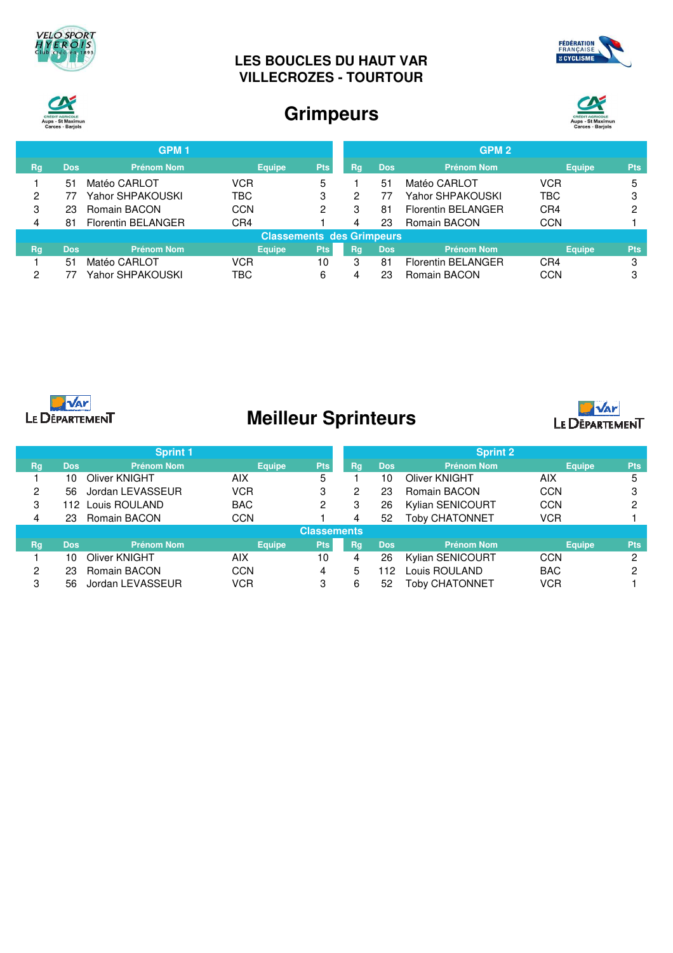





# **Grimpeurs**



| GPM <sub>1</sub> |                                  |                    |               |            |    | GPM <sub>2</sub> |                           |               |            |  |
|------------------|----------------------------------|--------------------|---------------|------------|----|------------------|---------------------------|---------------|------------|--|
| <b>Rg</b>        | <b>Dos</b>                       | <b>Prénom Nom</b>  | <b>Equipe</b> | <b>Pts</b> | Rq | <b>Dos</b>       | <b>Prénom Nom</b>         | <b>Equipe</b> | <b>Pts</b> |  |
|                  | 51                               | Matéo CARLOT       | VCR           | 5          |    | 51               | Matéo CARLOT              | <b>VCR</b>    | 5          |  |
| ົ                |                                  | Yahor SHPAKOUSKI   | <b>TBC</b>    | 3          | 2  |                  | Yahor SHPAKOUSKI          | TBC           | 3          |  |
| 3                | 23                               | Romain BACON       | CCN           | 2          | 3  | 81               | <b>Florentin BELANGER</b> | CR4           | റ          |  |
| 4                | 81                               | Florentin BELANGER | CR4           |            |    | 23               | Romain BACON              | <b>CCN</b>    |            |  |
|                  | <b>Classements des Grimpeurs</b> |                    |               |            |    |                  |                           |               |            |  |
| <b>Rg</b>        | <b>Dos</b>                       | <b>Prénom Nom</b>  | <b>Equipe</b> | <b>Pts</b> | Rg | <b>Dos</b>       | <b>Prénom Nom</b>         | <b>Equipe</b> | <b>Pts</b> |  |
|                  | 51                               | Matéo CARLOT       | <b>VCR</b>    | 10         | 3  | 81               | <b>Florentin BELANGER</b> | CR4           | 3          |  |
| ົ                |                                  | Yahor SHPAKOUSKI   | TBC           | 6          |    | 23               | Romain BACON              | CCN           | 3          |  |



# **Meilleur Sprinteurs**



|    |                    | <b>Sprint 1</b>   |               |            |    |            | <b>Sprint 2</b>         |               |            |  |
|----|--------------------|-------------------|---------------|------------|----|------------|-------------------------|---------------|------------|--|
| Rg | <b>Dos</b>         | <b>Prénom Nom</b> | <b>Equipe</b> | <b>Pts</b> | Rg | <b>Dos</b> | <b>Prénom Nom</b>       | <b>Equipe</b> | <b>Pts</b> |  |
|    | 10                 | Oliver KNIGHT     | AIX           | 5          |    | 10         | Oliver KNIGHT           | AIX           | 5          |  |
| 2  | 56                 | Jordan LEVASSEUR  | VCR           | 3          | 2  | 23         | Romain BACON            | <b>CCN</b>    |            |  |
| 3  |                    | 112 Louis ROULAND | <b>BAC</b>    | 2          | 3  | 26         | <b>Kylian SENICOURT</b> | <b>CCN</b>    |            |  |
| 4  | 23                 | Romain BACON      | <b>CCN</b>    |            |    | 52         | <b>Toby CHATONNET</b>   | <b>VCR</b>    |            |  |
|    | <b>Classements</b> |                   |               |            |    |            |                         |               |            |  |
| Rg | <b>Dos</b>         | <b>Prénom Nom</b> | <b>Equipe</b> | <b>Pts</b> | Rg | <b>Dos</b> | <b>Prénom Nom</b>       | <b>Equipe</b> | <b>Pts</b> |  |
|    | 10                 | Oliver KNIGHT     | AIX           | 10         | 4  | 26         | <b>Kylian SENICOURT</b> | <b>CCN</b>    | റ          |  |
| 2  | 23                 | Romain BACON      | CCN           | 4          | 5  | 112        | Louis ROULAND           | <b>BAC</b>    | റ          |  |
| 3  | 56                 | Jordan LEVASSEUR  | <b>VCR</b>    | 3          | 6  | 52         | Toby CHATONNET          | <b>VCR</b>    |            |  |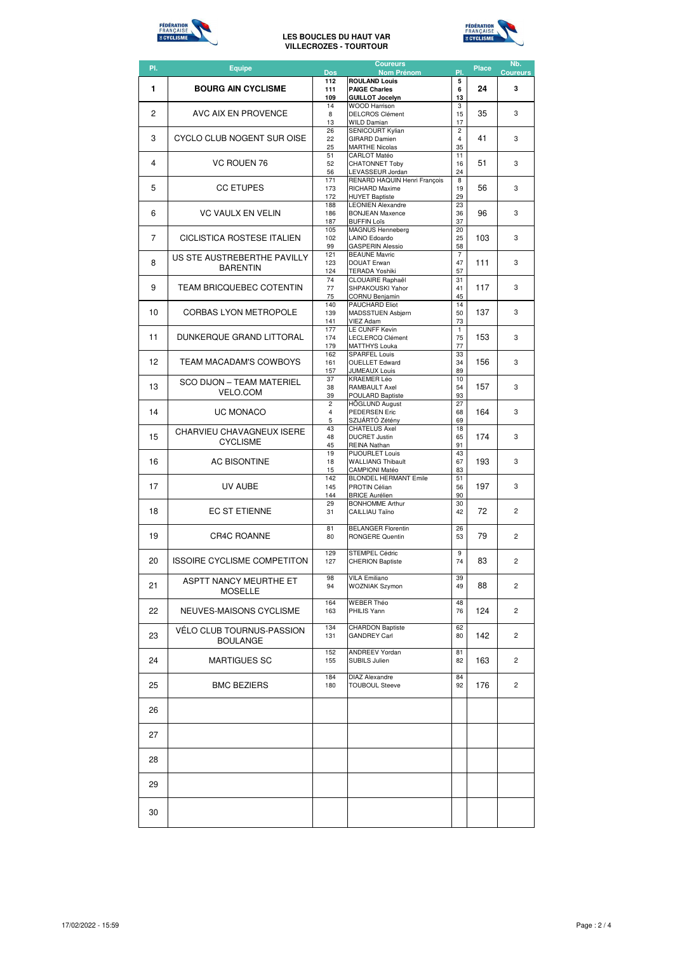



| PI. | <b>Equipe</b>                                       | <b>Dos</b>              | <b>Coureurs</b><br><b>Nom Prénom</b>               | PI.                  | <b>Place</b> | Nb.<br><b>Coureurs</b> |
|-----|-----------------------------------------------------|-------------------------|----------------------------------------------------|----------------------|--------------|------------------------|
|     |                                                     | 112                     | <b>ROULAND Louis</b>                               | 5                    |              |                        |
| 1   | <b>BOURG AIN CYCLISME</b>                           | 111<br>109              | <b>PAIGE Charles</b><br><b>GUILLOT Jocelyn</b>     | 6<br>13              | 24           | 3                      |
| 2   | AVC AIX EN PROVENCE                                 | 14<br>8                 | <b>WOOD Harrison</b><br><b>DELCROS Clément</b>     | 3<br>15              | 35           | 3                      |
|     |                                                     | 13<br>26                | <b>WILD Damian</b><br><b>SENICOURT Kylian</b>      | 17<br>$\overline{c}$ |              |                        |
| 3   | CYCLO CLUB NOGENT SUR OISE                          | 22                      | <b>GIRARD Damien</b>                               | $\overline{4}$       | 41           | 3                      |
|     |                                                     | 25<br>51                | <b>MARTHE Nicolas</b><br>CARLOT Matéo              | 35<br>11             |              |                        |
| 4   | <b>VC ROUEN 76</b>                                  | 52<br>56                | <b>CHATONNET Toby</b><br>LEVASSEUR Jordan          | 16<br>24             | 51           | 3                      |
|     |                                                     | 171                     | RENARD HAQUIN Henri Francois                       | 8                    |              |                        |
| 5   | <b>CC ETUPES</b>                                    | 173<br>172              | RICHARD Maxime<br><b>HUYET Baptiste</b>            | 19<br>29             | 56           | 3                      |
| 6   | <b>VC VAULX EN VELIN</b>                            | 188<br>186              | <b>LEONIEN Alexandre</b><br><b>BONJEAN Maxence</b> | 23<br>36             | 96           | 3                      |
|     |                                                     | 187                     | <b>BUFFIN Loïs</b>                                 | 37                   |              |                        |
| 7   | CICLISTICA ROSTESE ITALIEN                          | 105<br>102              | MAGNUS Henneberg<br>LAINO Edoardo                  | 20<br>25             | 103          | 3                      |
|     |                                                     | 99<br>121               | <b>GASPERIN Alessio</b><br><b>BEAUNE Mavric</b>    | 58<br>$\overline{7}$ |              |                        |
| 8   | US STE AUSTREBERTHE PAVILLY<br><b>BARENTIN</b>      | 123                     | <b>DOUAT Erwan</b>                                 | 47                   | 111          | 3                      |
|     |                                                     | 124<br>74               | TERADA Yoshiki<br>CLOUAIRE Raphaël                 | 57<br>31             |              |                        |
| 9   | TEAM BRICQUEBEC COTENTIN                            | 77<br>75                | SHPAKOUSKI Yahor<br><b>CORNU Benjamin</b>          | 41<br>45             | 117          | 3                      |
|     |                                                     | 140                     | <b>PAUCHARD Eliot</b>                              | 14                   |              |                        |
| 10  | <b>CORBAS LYON METROPOLE</b>                        | 139<br>141              | MADSSTUEN Asbjørn<br><b>VIEZ Adam</b>              | 50<br>73             | 137          | 3                      |
| 11  | DUNKERQUE GRAND LITTORAL                            | 177<br>174              | LE CUNFF Kevin<br>LECLERCQ Clément                 | $\mathbf{1}$<br>75   | 153          | 3                      |
|     |                                                     | 179                     | <b>MATTHYS Louka</b>                               | 77                   |              |                        |
| 12  | TEAM MACADAM'S COWBOYS                              | 162<br>161              | <b>SPARFEL Louis</b><br><b>OUELLET Edward</b>      | 33<br>34             | 156          | 3                      |
|     |                                                     | 157<br>37               | <b>JUMEAUX Louis</b><br>KRAEMER Léo                | 89<br>10             |              |                        |
| 13  | <b>SCO DIJON - TEAM MATERIEL</b><br><b>VELO.COM</b> | 38                      | RAMBAULT Axel                                      | 54                   | 157          | 3                      |
|     |                                                     | 39<br>$\overline{c}$    | POULARD Baptiste<br><b>HÖGLUND August</b>          | 93<br>27             |              |                        |
| 14  | UC MONACO                                           | $\overline{\mathbf{4}}$ | PEDERSEN Eric                                      | 68                   | 164          | 3                      |
|     | CHARVIEU CHAVAGNEUX ISERE                           | 5<br>43                 | SZIJÁRTÓ Zétény<br><b>CHATELUS Axel</b>            | 69<br>18             |              |                        |
| 15  | <b>CYCLISME</b>                                     | 48<br>45                | <b>DUCRET Justin</b><br>REINA Nathan               | 65<br>91             | 174          | 3                      |
|     |                                                     | 19                      | PIJOURLET Louis                                    | 43                   |              |                        |
| 16  | <b>AC BISONTINE</b>                                 | 18<br>15                | <b>WALLIANG Thibault</b><br><b>CAMPIONI Matéo</b>  | 67<br>83             | 193          | 3                      |
| 17  | UV AUBE                                             | 142<br>145              | <b>BLONDEL HERMANT Emile</b><br>PROTIN Célian      | 51<br>56             | 197          | 3                      |
|     |                                                     | 144                     | <b>BRICE Aurélien</b>                              | 90                   |              |                        |
| 18  | EC ST ETIENNE                                       | 29<br>31                | <b>BONHOMME Arthur</b><br>CAILLIAU Taïno           | 30<br>42             | 72           | $\overline{2}$         |
|     |                                                     | 81                      | <b>BELANGER Florentin</b>                          | 26                   |              |                        |
| 19  | CR4C ROANNE                                         | 80                      | <b>RONGERE Quentin</b>                             | 53                   | 79           | $\overline{c}$         |
|     |                                                     | 129                     | <b>STEMPEL Cédric</b>                              | 9                    |              |                        |
| 20  | ISSOIRE CYCLISME COMPETITON                         | 127                     | <b>CHERION Baptiste</b>                            | 74                   | 83           | 2                      |
|     | ASPTT NANCY MEURTHE ET                              | 98                      | <b>VILA Emiliano</b>                               | 39                   |              |                        |
| 21  | MOSELLE                                             | 94                      | <b>WOZNIAK Szymon</b>                              | 49                   | 88           | 2                      |
| 22  | NEUVES-MAISONS CYCLISME                             | 164<br>163              | <b>WEBER Théo</b><br>PHILIS Yann                   | 48<br>76             | 124          | 2                      |
|     |                                                     |                         |                                                    |                      |              |                        |
| 23  | VÉLO CLUB TOURNUS-PASSION                           | 134<br>131              | <b>CHARDON Baptiste</b><br><b>GANDREY Carl</b>     | 62<br>80             | 142          | $\overline{2}$         |
|     | <b>BOULANGE</b>                                     | 152                     | <b>ANDREEV Yordan</b>                              | 81                   |              |                        |
| 24  | <b>MARTIGUES SC</b>                                 | 155                     | SUBILS Julien                                      | 82                   | 163          | 2                      |
|     |                                                     | 184                     | <b>DIAZ Alexandre</b>                              | 84                   |              |                        |
| 25  | <b>BMC BEZIERS</b>                                  | 180                     | <b>TOUBOUL Steeve</b>                              | 92                   | 176          | 2                      |
|     |                                                     |                         |                                                    |                      |              |                        |
| 26  |                                                     |                         |                                                    |                      |              |                        |
| 27  |                                                     |                         |                                                    |                      |              |                        |
|     |                                                     |                         |                                                    |                      |              |                        |
| 28  |                                                     |                         |                                                    |                      |              |                        |
|     |                                                     |                         |                                                    |                      |              |                        |
| 29  |                                                     |                         |                                                    |                      |              |                        |
|     |                                                     |                         |                                                    |                      |              |                        |
| 30  |                                                     |                         |                                                    |                      |              |                        |
|     |                                                     |                         |                                                    |                      |              |                        |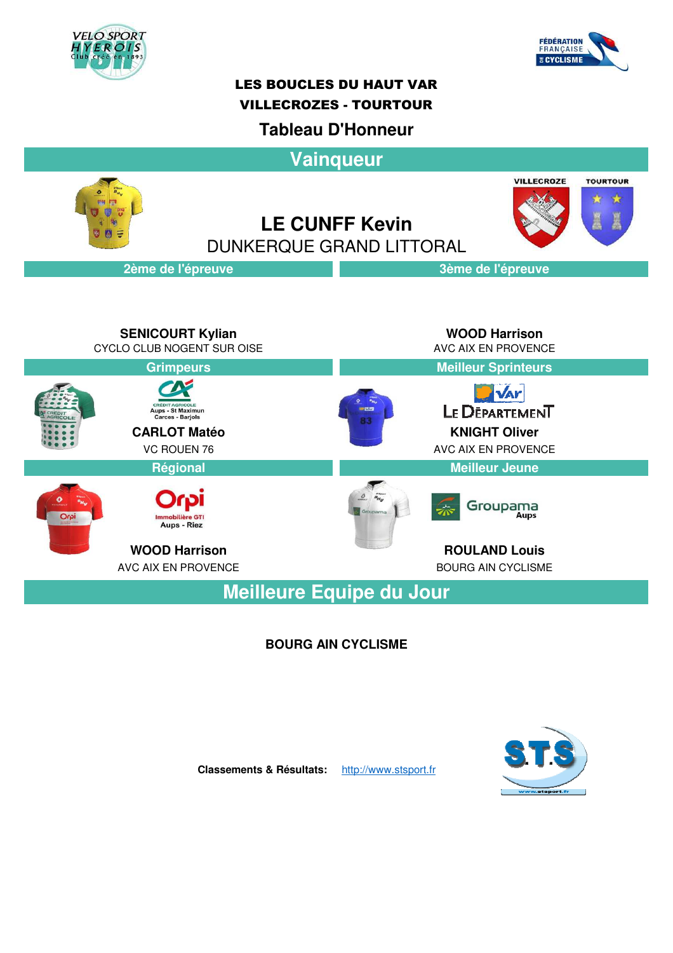



## **Tableau D'Honneur**

**Vainqueur**

**LE CUNFF Kevin** DUNKERQUE GRAND LITTORAL





## **2ème de l'épreuve 3ème de l'épreuve**

**SENICOURT Kylian**<br>LO CLUB NOGENT SUR OISE **AND A REACT AND A REACT AND A REACT AND A** AVC AIX EN PROVENCE CYCLO CLUB NOGENT SUR OISE **Grimpeurs Meilleur Sprinteurs NAr** LE DEPARTEMENT **CREDIT AGRICOLE**<br>Aups - St Maximun<br>Carces - Barjols **CARLOT Matéo KNIGHT Oliver** VC ROUEN 76 AVC AIX EN PROVENCE **Régional Meilleur Jeune** Groupama  $0<sup>o</sup>$ Aups - Riez **WOOD Harrison ROULAND Louis** AVC AIX EN PROVENCE **BOURG AIN CYCLISME** 

**Meilleure Equipe du Jour**

## **BOURG AIN CYCLISME**



**Classements & Résultats:** http://www.stsport.fr